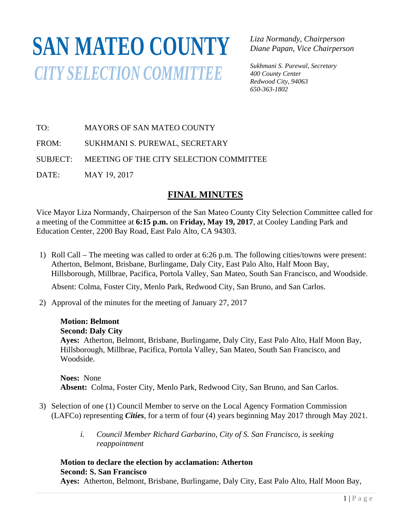# **SAN MATEO COUNTY** *CITY SELECTION COMMITTEE*

*Liza Normandy, Chairperson Diane Papan, Vice Chairperson* 

*Sukhmani S. Purewal, Secretary 400 County Center Redwood City, 94063 650-363-1802*

TO: MAYORS OF SAN MATEO COUNTY

FROM: SUKHMANI S. PUREWAL, SECRETARY

SUBJECT: MEETING OF THE CITY SELECTION COMMITTEE

DATE: MAY 19, 2017

## **FINAL MINUTES**

Vice Mayor Liza Normandy, Chairperson of the San Mateo County City Selection Committee called for a meeting of the Committee at **6:15 p.m.** on **Friday, May 19, 2017**, at Cooley Landing Park and Education Center, 2200 Bay Road, East Palo Alto, CA 94303.

1) Roll Call – The meeting was called to order at 6:26 p.m. The following cities/towns were present: Atherton, Belmont, Brisbane, Burlingame, Daly City, East Palo Alto, Half Moon Bay, Hillsborough, Millbrae, Pacifica, Portola Valley, San Mateo, South San Francisco, and Woodside.

Absent: Colma, Foster City, Menlo Park, Redwood City, San Bruno, and San Carlos.

2) Approval of the minutes for the meeting of January 27, 2017

#### **Motion: Belmont Second: Daly City**

**Ayes:** Atherton, Belmont, Brisbane, Burlingame, Daly City, East Palo Alto, Half Moon Bay, Hillsborough, Millbrae, Pacifica, Portola Valley, San Mateo, South San Francisco, and Woodside.

**Noes:** None **Absent:** Colma, Foster City, Menlo Park, Redwood City, San Bruno, and San Carlos.

- 3) Selection of one (1) Council Member to serve on the Local Agency Formation Commission (LAFCo) representing *Cities*, for a term of four (4) years beginning May 2017 through May 2021.
	- *i. Council Member Richard Garbarino, City of S. San Francisco, is seeking reappointment*

#### **Motion to declare the election by acclamation: Atherton Second: S. San Francisco**

**Ayes:** Atherton, Belmont, Brisbane, Burlingame, Daly City, East Palo Alto, Half Moon Bay,